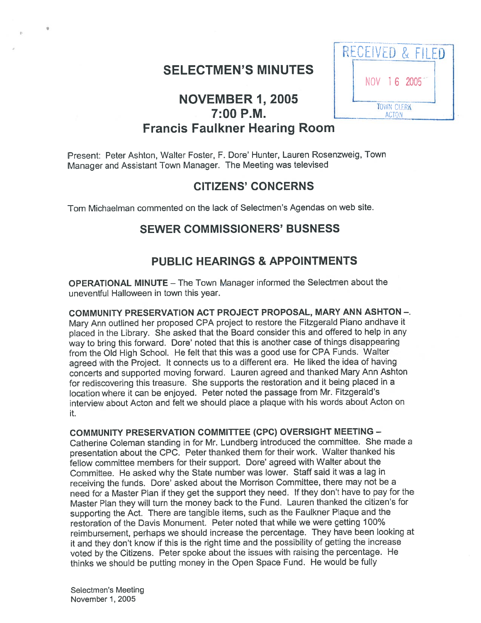## SELECTMEN'S MINUTES

## NOVEMBER 1, <sup>2005</sup> L Francis Faulkner Hearing Room

Present: Peter Ashton, Walter Foster, F. Dore' Hunter, Lauren Rosenzweig, Town Manager and Assistant Town Manager. The Meeting was televised

## CITIZENS' CONCERNS

Tom Michaelman commented on the lack of Selectmen's Agendas on web site.

## SEWER COMMISSIONERS' BUSNESS

## PUBLIC HEARINGS & APPOINTMENTS

OPERATIONAL MINUTE — The Town Manager informed the Selectmen about the uneventful Halloween in town this year.

COMMUNITY PRESERVATION ACT PROJECT PROPOSAL, MARY ANN ASHTON -. Mary Ann outlined her propose<sup>d</sup> CPA project to restore the Fitzgerald Piano andhave it <sup>p</sup>laced in the Library. She asked that the Board consider this and offered to help in any way to bring this forward. Dore' noted that this is another case of things disappearing from the Old High School. He felt that this was <sup>a</sup> goo<sup>d</sup> use for CPA Funds. Walter agree<sup>d</sup> with the Project. It connects us to <sup>a</sup> different era. He liked the idea of having concerts and supported moving forward. Lauren agree<sup>d</sup> and thanked Mary Ann Ashton for rediscovering this treasure. She supports the restoration and it being <sup>p</sup>laced in <sup>a</sup> location where it can be enjoyed. Peter noted the passage from Mr. Fitzgerald's interview about Acton and felt we should place <sup>a</sup> plaque with his words about Acton on it.

COMMUNITY PRESERVATION COMMITTEE (CPC) OVERSIGHT MEETING - Catherine Coleman standing in for Mr. Lundberg introduced the committee. She made <sup>a</sup> presentation about the CPC. Peter thanked them for their work. Walter thanked his fellow committee members for their support. Dore' agree<sup>d</sup> with Walter about the Committee. He asked why the State number was lower. Staff said it was <sup>a</sup> lag in receiving the funds. Dore' asked about the Morrison Committee, there may not be <sup>a</sup> need for <sup>a</sup> Master Plan if they ge<sup>t</sup> the suppor<sup>t</sup> they need. If they don't have to pay for the Master Plan they will turn the money back to the Fund. Lauren thanked the citizen's for supporting the Act. There are tangible items, such as the Faulkner Plaque and the restoration of the Davis Monument. Peter noted that while we were getting 700% reimbursement, perhaps we should increase the percentage. They have been looking at it and they don't know if this is the right time and the possibility of getting the increase voted by the Citizens. Peter spoke about the issues with raising the percentage. He thinks we should be putting money in the Open Space Fund. He would be fully

Selectmen's Meeting November 1,2005

# RECEIVED & FILED NOV 16 2005 MEN'S MINUTES<br>
FILED<br>
FILED<br>
FILED<br>
RECEIVED & FILED<br>
NOV 16 2005<br>
TOWN CLERK ACTON

.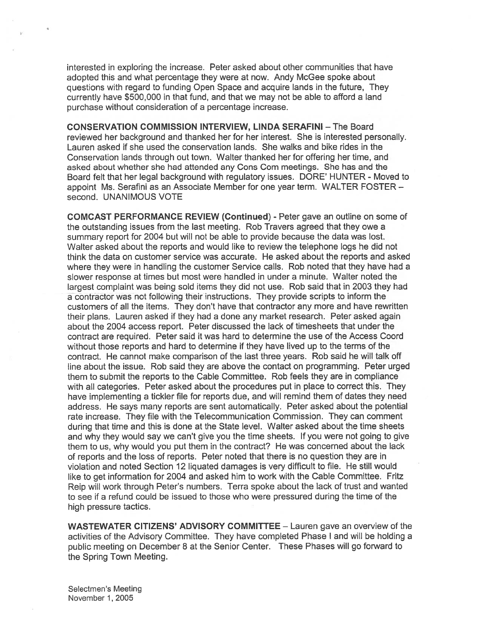interested in exploring the increase. Peter asked about other communities that have adopted this and what percentage they were at now. Andy McGee spoke about questions with regard to funding Open Space and acquire lands in the future, They currently have \$500,000 in that fund, and that we may not be able to afford <sup>a</sup> land purchase without consideration of <sup>a</sup> percentage increase.

CONSERVATION COMMISSION INTERVIEW, LINDA SERAFINI — The Board reviewed her background and thanked her for her interest. She is interested personally. Lauren asked if she used the conservation lands. She walks and bike rides in the Conservation lands through out town. Walter thanked her for offering her time, and asked about whether she had attended any Cons Corn meetings. She has and the Board felt that her legal background with regulatory issues. DORE' HUNTER - Moved to appoint Ms. Serafini as an Associate Member for one year term. WALTER FOSTER second. UNANIMOUS VOTE

COMCAST PERFORMANCE REVIEW (Continued) - Peter gave an outline on some of the outstanding issues from the last meeting. Rob Travers agreed that they owe <sup>a</sup> summary repor<sup>t</sup> for 2004 but will not be able to provide because the data was lost. Walter asked about the reports and would like to review the telephone logs he did not think the data on customer service was accurate. He asked about the reports and asked where they were in handling the customer Service calls. Rob noted that they have had <sup>a</sup> slower response at times but most were handled in under <sup>a</sup> minute. Walter noted the largest complaint was being sold items they did not use. Rob said that in 2003 they had <sup>a</sup> contractor was not following their instructions. They provide scripts to inform the customers of all the items. They don't have that contractor any more and have rewritten their plans. Lauren asked if they had <sup>a</sup> done any market research. Peter asked again about the 2004 access report. Peter discussed the lack of timesheets that under the contract are required. Peter said it was hard to determine the use of the Access Coord without those reports and hard to determine if they have lived up to the terms of the contract. He cannot make comparison of the last three years. Rob said he will talk off line about the issue. Rob said they are above the contact on programming. Peter urged them to submit the reports to the Cable Committee. Rob feels they are in compliance with all categories. Peter asked about the procedures pu<sup>t</sup> in place to correct this. They have implementing <sup>a</sup> tickler file for reports due, and will remind them of dates they need address. He says many reports are sent automatically. Peter asked about the potential rate increase. They file with the Telecommunication Commission. They can comment during that time and this is done at the State level. Walter asked about the time sheets and why they would say we can't give you the time sheets. If you were not going to give them to us, why would you pu<sup>t</sup> them in the contract? He was concerned about the lack of reports and the loss of reports. Peter noted that there is no question they are in violation and noted Section 12 liquated damages is very difficult to file. He still would like to ge<sup>t</sup> information for 2004 and asked him to work with the Cable Committee. Fritz Reip will work through Peter's numbers. Terra spoke about the lack of trust and wanted to see if <sup>a</sup> refund could be issued to those who were pressured during the time of the high pressure tactics.

WASTEWATER CITIZENS' ADVISORY COMMITTEE — Lauren gave an overview of the activities of the Advisory Committee. They have completed Phase I and will be holding <sup>a</sup> public meeting on December 8 at the Senior Center. These Phases will go forward to the Spring Town Meeting.

Selectmen's Meeting November 1, 2005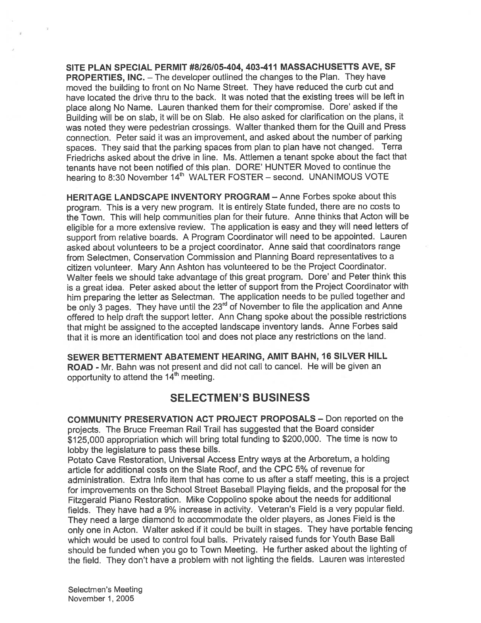SITE PLAN SPECIAL PERMIT #8/26/05-404, 403-411 MASSACHUSETTS AyE, SF PROPERTIES, INC. - The developer outlined the changes to the Plan. They have moved the building to front on No Name Street. They have reduced the curb cut and have located the drive thru to the back. It was noted that the existing trees will be left in <sup>p</sup>lace along No Name. Lauren thanked them for their compromise. Dore' asked if the Building will be on slab, it will be on Slab. He also asked for clarification on the <sup>p</sup>lans, it was noted they were pedestrian crossings. Walter thanked them for the Quill and Press connection. Peter said it was an improvement, and asked about the number of parking spaces. They said that the parking spaces from <sup>p</sup>lan to <sup>p</sup>lan have not changed. Terra Friedrichs asked about the drive in line. Ms. Attlemen <sup>a</sup> tenant spoke about the fact that tenants have not been notified of this <sup>p</sup>lan. DORE' HUNTER Moved to continue the hearing to 8:30 November 14<sup>th</sup> WALTER FOSTER - second. UNANIMOUS VOTE

HERITAGE LANDSCAPE INVENTORY PROGRAM — Anne Forbes spoke about this program. This is <sup>a</sup> very new program. It is entirely State funded, there are no costs to the Town. This will help communities <sup>p</sup>lan for their future. Anne thinks that Acton will be eligible for <sup>a</sup> more extensive review. The application is easy and they will need letters of suppor<sup>t</sup> from relative boards. <sup>A</sup> Program Coordinator will need to be appointed. Lauren asked about volunteers to be <sup>a</sup> project coordinator. Anne said that coordinators range from Selectmen, Conservation Commission and Planning Board representatives to <sup>a</sup> citizen volunteer. Mary Ann Ashton has volunteered to be the Project Coordinator. Walter feels we should take advantage of this grea<sup>t</sup> program. Dore' and Peter think this is <sup>a</sup> grea<sup>t</sup> idea. Peter asked about the letter of suppor<sup>t</sup> from the Project Coordinator with him preparing the letter as Selectman. The application needs to be pulled together and be only 3 pages. They have until the 23<sup>rd</sup> of November to file the application and Anne offered to help draft the suppor<sup>t</sup> letter. Ann Chang spoke about the possible restrictions that might be assigned to the accepted landscape inventory lands. Anne Forbes said that it is more an identification tool and does not place any restrictions on the land.

SEWER BETTERMENT ABATEMENT HEARING, AMIT BAHN, 16 SILVER HILL ROAD - Mr. Bahn was not presen<sup>t</sup> and did not call to cancel. He will be <sup>g</sup>iven an opportunity to attend the  $14<sup>th</sup>$  meeting.

## SELECTMEN'S BUSINESS

COMMUNITY PRESERVATION ACT PROJECT PROPOSALS — Don reported on the projects. The Bruce Freeman Rail Trail has suggested that the Board consider \$125,000 appropriation which will bring total funding to \$200,000. The time is now to lobby the legislature to pass these bills.

Potato Cave Restoration, Universal Access Entry ways at the Arboretum, <sup>a</sup> holding article for additional costs on the Slate Roof, and the CPC 5% of revenue for administration. Extra Info item that has come to us after <sup>a</sup> staff meeting, this is <sup>a</sup> project for improvements on the School Street Baseball Playing fields, and the proposa<sup>l</sup> for the Fitzgerald Piano Restoration. Mike Coppolino spoke about the needs for additional fields. They have had <sup>a</sup> 9% increase in activity. Veteran's Field is <sup>a</sup> very popular field. They need <sup>a</sup> large diamond to accommodate the older <sup>p</sup>layers, as Jones Field is the only one in Acton. Walter asked if it could be built in stages. They have portable fencing which would be used to control foul balls. Privately raised funds for Youth Base Ball should be funded when you go to Town Meeting. He further asked about the lighting of the field. They don't have <sup>a</sup> problem with not lighting the fields. Lauren was interested

Selectmen's Meeting November 1, 2005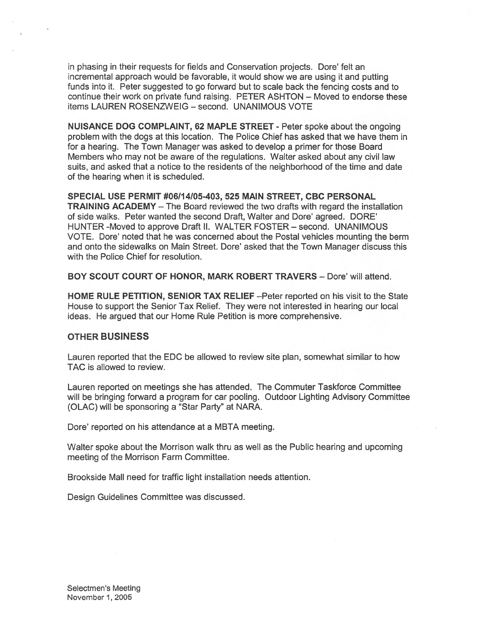in phasing in their requests for fields and Conservation projects. Dore' felt an incremental approach would be favorable, it would show we are using it and putting funds into it. Peter suggested to go forward but to scale back the fencing costs and to continue their work on private fund raising. PETER ASHTON — Moved to endorse these items LAUREN ROSENZWEIG — second. UNANIMOUS VOTE

NUISANCE DOG COMPLAINT, 62 MAPLE STREET - Peter spoke about the ongoing problem with the dogs at this location. The Police Chief has asked that we have them in for <sup>a</sup> hearing. The Town Manager was asked to develop <sup>a</sup> primer for those Board Members who may not be aware of the regulations. Walter asked about any civil law suits, and asked that <sup>a</sup> notice to the residents of the neighborhood of the time and date of the hearing when it is scheduled.

SPECIAL USE PERMIT #06114105-403, 525 MAIN STREET, CBC PERSONAL TRAINING ACADEMY — The Board reviewed the two drafts with regard the installation of side walks. Peter wanted the second Draft, Walter and Dore' agreed. DORE' HUNTER -Moved to approve Draft II. WALTER FOSTER — second. UNANIMOUS VOTE. Dore' noted that he was concerned about the Postal vehicles mounting the berm and onto the sidewalks on Main Street. Dore' asked that the Town Manager discuss this with the Police Chief for resolution.

BOY SCOUT COURT OF HONOR, MARK ROBERT TRAVERS — Dore' will attend.

HOME RULE PETITION, SENIOR TAX RELIEF —Peter reported on his visit to the State House to suppor<sup>t</sup> the Senior Tax Relief. They were not interested in hearing our local ideas. He argued that our Home Rule Petition is more comprehensive.

#### OTHER BUSINESS

Lauren reported that the EDC be allowed to review site plan, somewhat similar to how TAC is allowed to review.

Lauren reported on meetings she has attended. The Commuter Taskforce Committee will be bringing forward <sup>a</sup> program for car pooling. Outdoor Lighting Advisory Committee (OLAC) will be sponsoring <sup>a</sup> "Star Party" at NARA.

Dore' reported on his attendance at <sup>a</sup> MBTA meeting.

Walter spoke about the Morrison walk thru as well as the Public hearing and upcoming meeting of the Morrison Farm Committee.

Brookside Mall need for traffic light installation needs attention.

Design Guidelines Committee was discussed.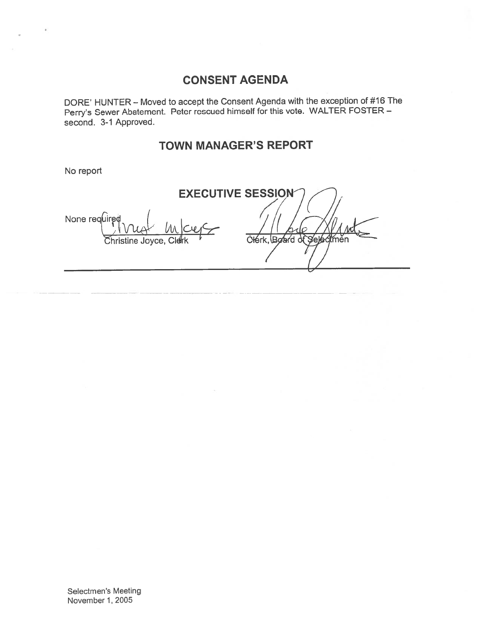## CONSENT AGENDA

DO RE' HUNTER — Moved to accep<sup>t</sup> the Consent Agenda with the exception of #16 The Perry's Sewer Abatement. Peter rescued himself for this vote. WALTER FOSTER second. 3-1 Approved.

## TOWN MANAGER'S REPORT

No report

EXECUTIVE SESSION None required Clérk, Board Seléo **N** něn Christine Joyce, Clerk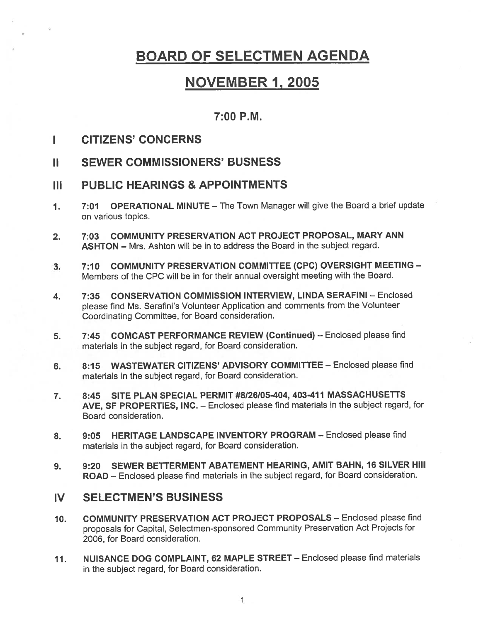## BOARD OF SELECTMEN AGENDA

## NOVEMBER 1,2005

## 7:00 P.M.

- I CITIZENS' CONCERNS
- II SEWER COMMISSIONERS' BUSNESS
- III PUBLIC HEARINGS & APPOINTMENTS
- 1. 7:01 OPERATIONAL MINUTE The Town Manager will give the Board <sup>a</sup> brief update on various topics.
- 2. 7:03 COMMUNITY PRESERVATION ACT PROJECT PROPOSAL, MARY ANN ASHTON — Mrs. Ashton will be in to address the Board in the subject regard.
- 3. 7:10 COMMUNITY PRESERVATION COMMITTEE (CPC) OVERSIGHT MEETING Members of the CPC will be in for their annual oversight meeting with the Board.
- 4. 7:35 CONSERVATION COMMISSION INTERVIEW, LINDA SERAFINI Enclosed <sup>p</sup>lease find Ms. Serafini's Volunteer Application and comments from the Volunteer Coordinating Committee, for Board consideration.
- 5. 7:45 COMCAST PERFORMANCE REVIEW (Continued) Enclosed please find materials in the subject regard, for Board consideration.
- 6. 8:15 WASTEWATER CITIZENS' ADVISORY COMMITTEE Enclosed please find materials in the subject regard, for Board consideration.
- 7. 8:45 SITE PLAN SPECIAL PERMIT #8126/05-404, 403-411 MASSACHUSETTS AyE, SF PROPERTIES, INC. — Enclosed <sup>p</sup>lease find materials in the subject regard, for Board consideration.
- 8. 9:05 HERITAGE LANDSCAPE INVENTORY PROGRAM Enclosed please find materials in the subject regard, for Board consideration.
- 9. 9:20 SEWER BETTERMENT ABATEMENT HEARING, AMIT BAHN, 16 SILVER Hill ROAD — Enclosed <sup>p</sup>lease find materials in the subject regard, for Board consideration.

## IV SELECTMEN'S BUSINESS

- 10. COMMUNITY PRESERVATION ACT PROJECT PROPOSALS Enclosed please find proposals for Capital, Selectmen-sponsored Community Preservation Act Projects for 2006, for Board consideration.
- 11. NUISANCE DOG COMPLAINT, 62 MAPLE STREET Enclosed please find materials in the subject regard, for Board consideration.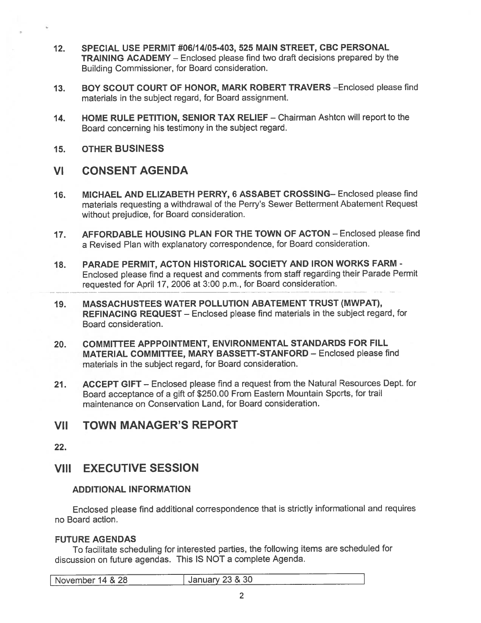- 12. SPECIAL USE PERMIT #06114105-403, 525 MAIN STREET, CBC PERSONAL TRAINING ACADEMY — Enclosed please find two draft decisions prepared by the Building Commissioner, for Board consideration.
- 13. BOY SCOUT COURT OF HONOR, MARK ROBERT TRAVERS —Enclosed please find materials in the subject regard, for Board assignment.
- 14. HOME RULE PETITION, SENIOR TAX RELIEF Chairman Ashton will repor<sup>t</sup> to the Board concerning his testimony in the subject regard.
- 15. OTHER BUSINESS

## VI CONSENT AGENDA

- 16. MICHAEL AND ELIZABETH PERRY, 6 ASSABET CROSSING— Enclosed please find materials requesting <sup>a</sup> withdrawal of the Perry's Sewer Betterment Abatement Request without prejudice, for Board consideration. SPECIAL USE PERMIT #06/14/05-403, 525 MAIN STREET, CBC<br>
TRAINING ACADEMY – Enclosed please find two draft decisions p<br>
Building Commissioner, for Board consideration.<br>
BOY SCOUT COURT OF HONOR, MARK ROBERT TRAVERS – <br>
mate
- 17. AFFORDABLE HOUSING PLAN FOR THE TOWN OF ACTON Enclosed please find <sup>a</sup> Revised Plan with explanatory correspondence, for Board consideration.
- 18. PARADE PERMIT, ACTON HISTORICAL SOCIETY AND IRON WORKS FARM Enclosed <sup>p</sup>lease find <sup>a</sup> reques<sup>t</sup> and comments from staff regarding their Parade Permit
- 19. MASSACHUSTEES WATER POLLUTION ABATEMENT TRUST (MWPAT), REFINACING REQUEST — Enclosed <sup>p</sup>lease find materials in the subject regard, for Board consideration.
- 20. COMMITTEE APPPOINTMENT, ENVIRONMENTAL STANDARDS FOR FILL MATERIAL COMMITTEE, MARY BASSETT-STANFORD — Enclosed please find materials in the subject regard, for Board consideration.
- 21. ACCEPT GIFT Enclosed <sup>p</sup>lease find <sup>a</sup> reques<sup>t</sup> from the Natural Resources Dept. for Board acceptance of <sup>a</sup> <sup>g</sup>ift of \$250.00 From Eastern Mountain Sports, for trail maintenance on Conservation Land, for Board consideration.

## VII TOWN MANAGER'S REPORT

22.

## VIII EXECUTIVE SESSION

### ADDITIONAL INFORMATION

Enclosed <sup>p</sup>lease find additional correspondence that is strictly informational and requires no Board action.

## FUTURE AGENDAS

To facilitate scheduling for interested parties, the following items are scheduled for discussion on future agendas. This IS NOT <sup>a</sup> complete Agenda.

| November 14 & 28 | _____<br>January 23 & 30 |  |
|------------------|--------------------------|--|
| ----<br>______   |                          |  |